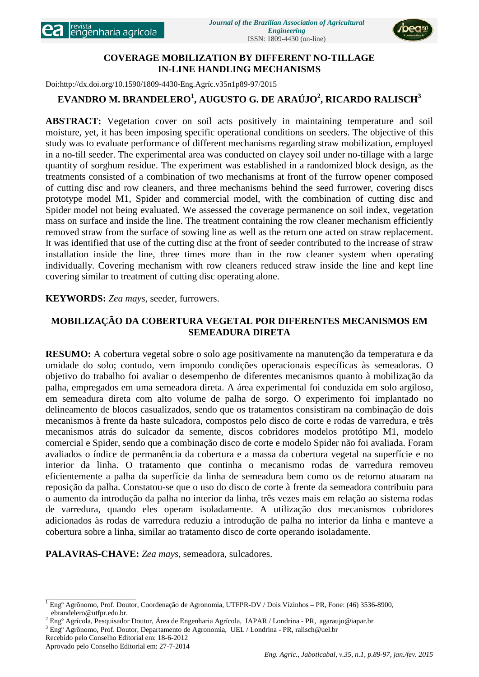

# **COVERAGE MOBILIZATION BY DIFFERENT NO-TILLAGE IN-LINE HANDLING MECHANISMS**

Doi:http://dx.doi.org/10.1590/1809-4430-Eng.Agríc.v35n1p89-97/2015

# **EVANDRO M. BRANDELERO<sup>1</sup> , AUGUSTO G. DE ARAÚJO<sup>2</sup> , RICARDO RALISCH<sup>3</sup>**

**ABSTRACT:** Vegetation cover on soil acts positively in maintaining temperature and soil moisture, yet, it has been imposing specific operational conditions on seeders. The objective of this study was to evaluate performance of different mechanisms regarding straw mobilization, employed in a no-till seeder. The experimental area was conducted on clayey soil under no-tillage with a large quantity of sorghum residue. The experiment was established in a randomized block design, as the treatments consisted of a combination of two mechanisms at front of the furrow opener composed of cutting disc and row cleaners, and three mechanisms behind the seed furrower, covering discs prototype model M1, Spider and commercial model, with the combination of cutting disc and Spider model not being evaluated. We assessed the coverage permanence on soil index, vegetation mass on surface and inside the line. The treatment containing the row cleaner mechanism efficiently removed straw from the surface of sowing line as well as the return one acted on straw replacement. It was identified that use of the cutting disc at the front of seeder contributed to the increase of straw installation inside the line, three times more than in the row cleaner system when operating individually. Covering mechanism with row cleaners reduced straw inside the line and kept line covering similar to treatment of cutting disc operating alone.

# **KEYWORDS:** *Zea mays,* seeder, furrowers.

# **MOBILIZAÇÃO DA COBERTURA VEGETAL POR DIFERENTES MECANISMOS EM SEMEADURA DIRETA**

**RESUMO:** A cobertura vegetal sobre o solo age positivamente na manutenção da temperatura e da umidade do solo; contudo, vem impondo condições operacionais específicas às semeadoras. O objetivo do trabalho foi avaliar o desempenho de diferentes mecanismos quanto à mobilização da palha, empregados em uma semeadora direta. A área experimental foi conduzida em solo argiloso, em semeadura direta com alto volume de palha de sorgo. O experimento foi implantado no delineamento de blocos casualizados, sendo que os tratamentos consistiram na combinação de dois mecanismos à frente da haste sulcadora, compostos pelo disco de corte e rodas de varredura, e três mecanismos atrás do sulcador da semente, discos cobridores modelos protótipo M1, modelo comercial e Spider, sendo que a combinação disco de corte e modelo Spider não foi avaliada. Foram avaliados o índice de permanência da cobertura e a massa da cobertura vegetal na superfície e no interior da linha. O tratamento que continha o mecanismo rodas de varredura removeu eficientemente a palha da superfície da linha de semeadura bem como os de retorno atuaram na reposição da palha. Constatou-se que o uso do disco de corte à frente da semeadora contribuiu para o aumento da introdução da palha no interior da linha, três vezes mais em relação ao sistema rodas de varredura, quando eles operam isoladamente. A utilização dos mecanismos cobridores adicionados às rodas de varredura reduziu a introdução de palha no interior da linha e manteve a cobertura sobre a linha, similar ao tratamento disco de corte operando isoladamente.

**PALAVRAS-CHAVE:** *Zea mays,* semeadora, sulcadores.

\_\_\_\_\_\_\_\_\_\_\_\_\_\_\_\_\_\_\_\_\_\_\_\_\_ <sup>1</sup> Engº Agrônomo, Prof. Doutor, Coordenação de Agronomia, UTFPR-DV / Dois Vizinhos – PR, Fone: (46) 3536-8900,

ebrandelero@utfpr.edu.br.<br>
<sup>2</sup> Eng<sup>o</sup> Agrícola, Pesquisador Doutor, Área de Engenharia Agrícola, IAPAR / Londrina - PR, agaraujo@iapar.br<br>
<sup>3</sup> Eng<sup>o</sup> Agrônomo, Prof. Doutor, Departamento de Agronomia, UEL / Londrina - PR,

Recebido pelo Conselho Editorial em: 18-6-2012

Aprovado pelo Conselho Editorial em: 27-7-2014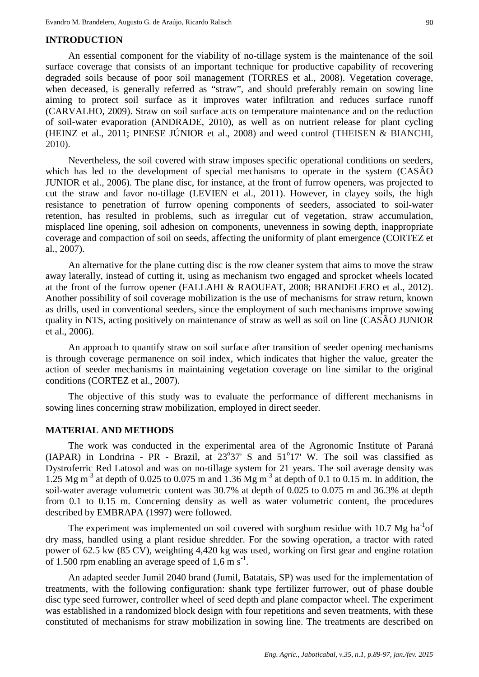### **INTRODUCTION**

An essential component for the viability of no-tillage system is the maintenance of the soil surface coverage that consists of an important technique for productive capability of recovering degraded soils because of poor soil management (TORRES et al., 2008). Vegetation coverage, when deceased, is generally referred as "straw", and should preferably remain on sowing line aiming to protect soil surface as it improves water infiltration and reduces surface runoff (CARVALHO, 2009). Straw on soil surface acts on temperature maintenance and on the reduction of soil-water evaporation (ANDRADE, 2010), as well as on nutrient release for plant cycling (HEINZ et al., 2011; PINESE JÚNIOR et al., 2008) and weed control (THEISEN & BIANCHI, 2010).

Nevertheless, the soil covered with straw imposes specific operational conditions on seeders, which has led to the development of special mechanisms to operate in the system (CASÃO JUNIOR et al., 2006). The plane disc, for instance, at the front of furrow openers, was projected to cut the straw and favor no-tillage (LEVIEN et al., 2011). However, in clayey soils, the high resistance to penetration of furrow opening components of seeders, associated to soil-water retention, has resulted in problems, such as irregular cut of vegetation, straw accumulation, misplaced line opening, soil adhesion on components, unevenness in sowing depth, inappropriate coverage and compaction of soil on seeds, affecting the uniformity of plant emergence (CORTEZ et al., 2007).

An alternative for the plane cutting disc is the row cleaner system that aims to move the straw away laterally, instead of cutting it, using as mechanism two engaged and sprocket wheels located at the front of the furrow opener (FALLAHI & RAOUFAT, 2008; BRANDELERO et al., 2012). Another possibility of soil coverage mobilization is the use of mechanisms for straw return, known as drills, used in conventional seeders, since the employment of such mechanisms improve sowing quality in NTS, acting positively on maintenance of straw as well as soil on line (CASÃO JUNIOR et al., 2006).

An approach to quantify straw on soil surface after transition of seeder opening mechanisms is through coverage permanence on soil index, which indicates that higher the value, greater the action of seeder mechanisms in maintaining vegetation coverage on line similar to the original conditions (CORTEZ et al., 2007).

The objective of this study was to evaluate the performance of different mechanisms in sowing lines concerning straw mobilization, employed in direct seeder.

#### **MATERIAL AND METHODS**

The work was conducted in the experimental area of the Agronomic Institute of Paraná  $(IAPAR)$  in Londrina - PR - Brazil, at  $23^{\circ}37'$  S and  $51^{\circ}17'$  W. The soil was classified as Dystroferric Red Latosol and was on no-tillage system for 21 years. The soil average density was 1.25 Mg m<sup>-3</sup> at depth of 0.025 to 0.075 m and 1.36 Mg m<sup>-3</sup> at depth of 0.1 to 0.15 m. In addition, the soil-water average volumetric content was 30.7% at depth of 0.025 to 0.075 m and 36.3% at depth from 0.1 to 0.15 m. Concerning density as well as water volumetric content, the procedures described by EMBRAPA (1997) were followed.

The experiment was implemented on soil covered with sorghum residue with 10.7 Mg ha<sup>-1</sup>of dry mass, handled using a plant residue shredder. For the sowing operation, a tractor with rated power of 62.5 kw (85 CV), weighting 4,420 kg was used, working on first gear and engine rotation of 1.500 rpm enabling an average speed of  $1,6 \text{ m s}^{-1}$ .

An adapted seeder Jumil 2040 brand (Jumil, Batatais, SP) was used for the implementation of treatments, with the following configuration: shank type fertilizer furrower, out of phase double disc type seed furrower, controller wheel of seed depth and plane compactor wheel. The experiment was established in a randomized block design with four repetitions and seven treatments, with these constituted of mechanisms for straw mobilization in sowing line. The treatments are described on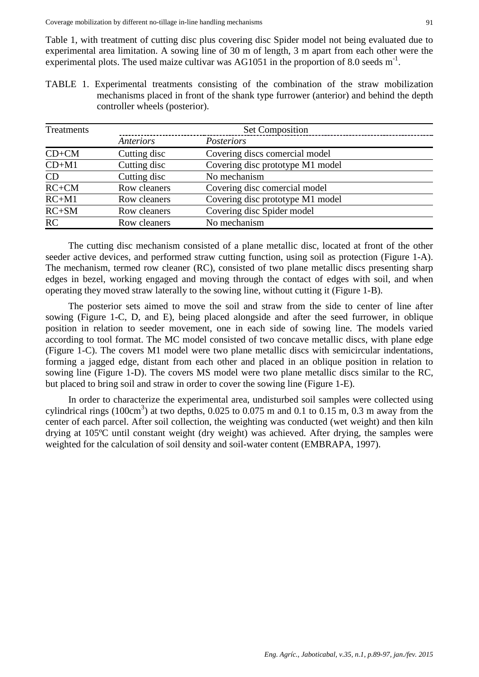Table 1, with treatment of cutting disc plus covering disc Spider model not being evaluated due to experimental area limitation. A sowing line of 30 m of length, 3 m apart from each other were the experimental plots. The used maize cultivar was AG1051 in the proportion of 8.0 seeds  $m^{-1}$ .

TABLE 1. Experimental treatments consisting of the combination of the straw mobilization mechanisms placed in front of the shank type furrower (anterior) and behind the depth controller wheels (posterior).

| Treatments | <b>Set Composition</b> |                                  |  |  |  |
|------------|------------------------|----------------------------------|--|--|--|
|            | Anteriors              | Posteriors                       |  |  |  |
| $CD+CM$    | Cutting disc           | Covering discs comercial model   |  |  |  |
| $CD+M1$    | Cutting disc           | Covering disc prototype M1 model |  |  |  |
| CD         | Cutting disc           | No mechanism                     |  |  |  |
| $RC+CM$    | Row cleaners           | Covering disc comercial model    |  |  |  |
| $RC+M1$    | Row cleaners           | Covering disc prototype M1 model |  |  |  |
| $RC+SM$    | Row cleaners           | Covering disc Spider model       |  |  |  |
| RC         | Row cleaners           | No mechanism                     |  |  |  |

The cutting disc mechanism consisted of a plane metallic disc, located at front of the other seeder active devices, and performed straw cutting function, using soil as protection (Figure 1-A). The mechanism, termed row cleaner (RC), consisted of two plane metallic discs presenting sharp edges in bezel, working engaged and moving through the contact of edges with soil, and when operating they moved straw laterally to the sowing line, without cutting it (Figure 1-B).

The posterior sets aimed to move the soil and straw from the side to center of line after sowing (Figure 1-C, D, and E), being placed alongside and after the seed furrower, in oblique position in relation to seeder movement, one in each side of sowing line. The models varied according to tool format. The MC model consisted of two concave metallic discs, with plane edge (Figure 1-C). The covers M1 model were two plane metallic discs with semicircular indentations, forming a jagged edge, distant from each other and placed in an oblique position in relation to sowing line (Figure 1-D). The covers MS model were two plane metallic discs similar to the RC, but placed to bring soil and straw in order to cover the sowing line (Figure 1-E).

In order to characterize the experimental area, undisturbed soil samples were collected using cylindrical rings (100cm<sup>3</sup>) at two depths, 0.025 to 0.075 m and 0.1 to 0.15 m, 0.3 m away from the center of each parcel. After soil collection, the weighting was conducted (wet weight) and then kiln drying at 105ºC until constant weight (dry weight) was achieved. After drying, the samples were weighted for the calculation of soil density and soil-water content (EMBRAPA, 1997).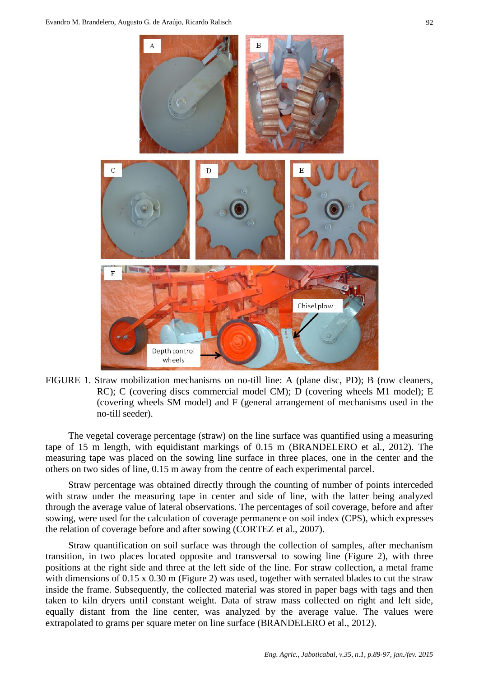

FIGURE 1. Straw mobilization mechanisms on no-till line: A (plane disc, PD); B (row cleaners, RC); C (covering discs commercial model CM); D (covering wheels M1 model); E (covering wheels SM model) and F (general arrangement of mechanisms used in the no-till seeder).

The vegetal coverage percentage (straw) on the line surface was quantified using a measuring tape of 15 m length, with equidistant markings of 0.15 m (BRANDELERO et al., 2012). The measuring tape was placed on the sowing line surface in three places, one in the center and the others on two sides of line, 0.15 m away from the centre of each experimental parcel.

Straw percentage was obtained directly through the counting of number of points interceded with straw under the measuring tape in center and side of line, with the latter being analyzed through the average value of lateral observations. The percentages of soil coverage, before and after sowing, were used for the calculation of coverage permanence on soil index (CPS), which expresses the relation of coverage before and after sowing (CORTEZ et al., 2007).

Straw quantification on soil surface was through the collection of samples, after mechanism transition, in two places located opposite and transversal to sowing line (Figure 2), with three positions at the right side and three at the left side of the line. For straw collection, a metal frame with dimensions of 0.15 x 0.30 m (Figure 2) was used, together with serrated blades to cut the straw inside the frame. Subsequently, the collected material was stored in paper bags with tags and then taken to kiln dryers until constant weight. Data of straw mass collected on right and left side, equally distant from the line center, was analyzed by the average value. The values were extrapolated to grams per square meter on line surface (BRANDELERO et al., 2012).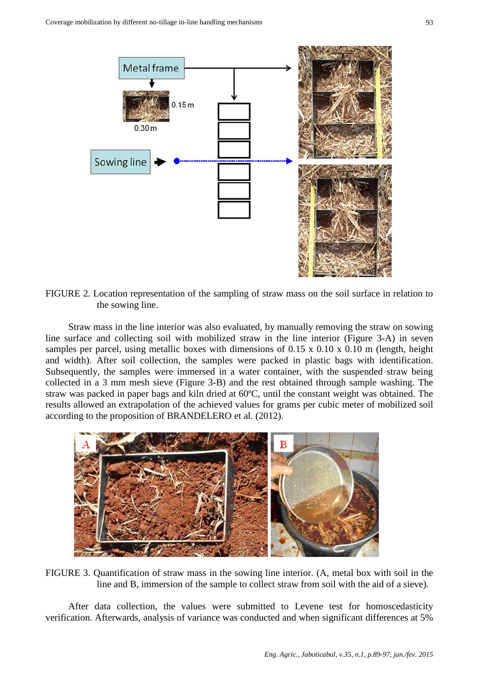

FIGURE 2. Location representation of the sampling of straw mass on the soil surface in relation to the sowing line.

Straw mass in the line interior was also evaluated, by manually removing the straw on sowing line surface and collecting soil with mobilized straw in the line interior (Figure 3-A) in seven samples per parcel, using metallic boxes with dimensions of 0.15 x 0.10 x 0.10 m (length, height and width). After soil collection, the samples were packed in plastic bags with identification. Subsequently, the samples were immersed in a water container, with the suspended straw being collected in a 3 mm mesh sieve (Figure 3-B) and the rest obtained through sample washing. The straw was packed in paper bags and kiln dried at 60ºC, until the constant weight was obtained. The results allowed an extrapolation of the achieved values for grams per cubic meter of mobilized soil according to the proposition of BRANDELERO et al. (2012).



FIGURE 3. Quantification of straw mass in the sowing line interior. (A, metal box with soil in the line and B, immersion of the sample to collect straw from soil with the aid of a sieve).

After data collection, the values were submitted to Levene test for homoscedasticity verification. Afterwards, analysis of variance was conducted and when significant differences at 5%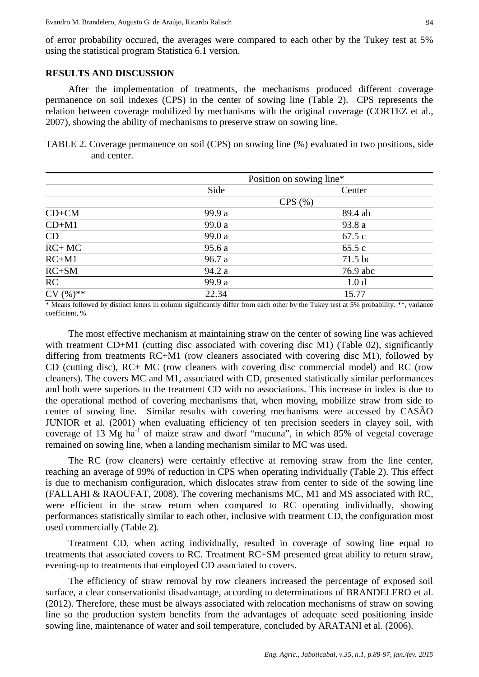of error probability occured, the averages were compared to each other by the Tukey test at 5% using the statistical program Statistica 6.1 version.

#### **RESULTS AND DISCUSSION**

After the implementation of treatments, the mechanisms produced different coverage permanence on soil indexes (CPS) in the center of sowing line (Table 2). CPS represents the relation between coverage mobilized by mechanisms with the original coverage (CORTEZ et al., 2007), showing the ability of mechanisms to preserve straw on sowing line.

TABLE 2. Coverage permanence on soil (CPS) on sowing line (%) evaluated in two positions, side and center.

|                       | Position on sowing line* |                  |  |
|-----------------------|--------------------------|------------------|--|
|                       | Side                     | Center           |  |
|                       |                          | CPS(%)           |  |
| $CD+CM$               | 99.9 a                   | 89.4 ab          |  |
| $CD+M1$               | 99.0 a                   | 93.8 a           |  |
| CD                    | 99.0 a                   | 67.5c            |  |
| $\overline{RC+MC}$    | 95.6a                    | 65.5c            |  |
| $RC+M1$               | 96.7 a                   | 71.5 bc          |  |
| $RC+SM$               | 94.2 a                   | 76.9 abc         |  |
| RC                    | 99.9 a                   | 1.0 <sub>d</sub> |  |
| $\overline{CV}$ (%)** | 22.34                    | 15.77            |  |

\* Means followed by distinct letters in column significantly differ from each other by the Tukey test at 5% probability. \*\*, variance coefficient, %.

The most effective mechanism at maintaining straw on the center of sowing line was achieved with treatment CD+M1 (cutting disc associated with covering disc M1) (Table 02), significantly differing from treatments RC+M1 (row cleaners associated with covering disc M1), followed by CD (cutting disc), RC+ MC (row cleaners with covering disc commercial model) and RC (row cleaners). The covers MC and M1, associated with CD, presented statistically similar performances and both were superiors to the treatment CD with no associations. This increase in index is due to the operational method of covering mechanisms that, when moving, mobilize straw from side to center of sowing line. Similar results with covering mechanisms were accessed by CASÃO JUNIOR et al. (2001) when evaluating efficiency of ten precision seeders in clayey soil, with coverage of 13 Mg  $ha^{-1}$  of maize straw and dwarf "mucuna", in which 85% of vegetal coverage remained on sowing line, when a landing mechanism similar to MC was used.

The RC (row cleaners) were certainly effective at removing straw from the line center, reaching an average of 99% of reduction in CPS when operating individually (Table 2). This effect is due to mechanism configuration, which dislocates straw from center to side of the sowing line (FALLAHI & RAOUFAT, 2008). The covering mechanisms MC, M1 and MS associated with RC, were efficient in the straw return when compared to RC operating individually, showing performances statistically similar to each other, inclusive with treatment CD, the configuration most used commercially (Table 2).

Treatment CD, when acting individually, resulted in coverage of sowing line equal to treatments that associated covers to RC. Treatment RC+SM presented great ability to return straw, evening-up to treatments that employed CD associated to covers.

The efficiency of straw removal by row cleaners increased the percentage of exposed soil surface, a clear conservationist disadvantage, according to determinations of BRANDELERO et al. (2012). Therefore, these must be always associated with relocation mechanisms of straw on sowing line so the production system benefits from the advantages of adequate seed positioning inside sowing line, maintenance of water and soil temperature, concluded by ARATANI et al. (2006).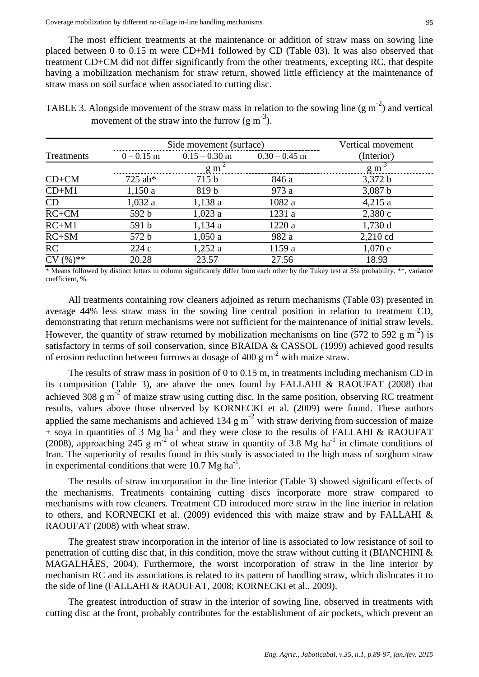The most efficient treatments at the maintenance or addition of straw mass on sowing line placed between 0 to 0.15 m were CD+M1 followed by CD (Table 03). It was also observed that treatment CD+CM did not differ significantly from the other treatments, excepting RC, that despite having a mobilization mechanism for straw return, showed little efficiency at the maintenance of straw mass on soil surface when associated to cutting disc.

TABLE 3. Alongside movement of the straw mass in relation to the sowing line  $(g m<sup>-2</sup>)$  and vertical movement of the straw into the furrow  $(g m<sup>-3</sup>)$ .

|            | Side movement (surface) | Vertical movement |                 |                      |
|------------|-------------------------|-------------------|-----------------|----------------------|
| Treatments | $0 - 0.15$ m            | $0.15 - 0.30$ m   | $0.30 - 0.45$ m | (Interior)           |
|            |                         | $\rm g~m^{-2}$    |                 | $\rm{g} \rm{m}^{-3}$ |
| $CD+CM$    | $725$ ab*               | 715 <sub>b</sub>  | 846 a           | 3,372 b              |
| $CD+M1$    | 1,150a                  | 819 b             | 973 a           | 3,087 b              |
| CD         | 1,032a                  | 1,138 a           | 1082 a          | 4,215a               |
| $RC+CM$    | 592 b                   | 1,023a            | 1231 a          | 2,380c               |
| $RC+M1$    | 591 b                   | 1,134a            | 1220a           | $1,730$ d            |
| $RC+SM$    | 572 b                   | 1,050a            | 982 a           | 2,210 cd             |
| <b>RC</b>  | 224c                    | 1,252a            | 1159 a          | 1,070e               |
| $CV(%)$ ** | 20.28                   | 23.57             | 27.56           | 18.93                |

\* Means followed by distinct letters in column significantly differ from each other by the Tukey test at 5% probability. \*\*, variance coefficient, %.

All treatments containing row cleaners adjoined as return mechanisms (Table 03) presented in average 44% less straw mass in the sowing line central position in relation to treatment CD, demonstrating that return mechanisms were not sufficient for the maintenance of initial straw levels. However, the quantity of straw returned by mobilization mechanisms on line (572 to 592  $\text{g m}^{-2}$ ) is satisfactory in terms of soil conservation, since BRAIDA & CASSOL (1999) achieved good results of erosion reduction between furrows at dosage of 400 g  $m<sup>2</sup>$  with maize straw.

The results of straw mass in position of 0 to 0.15 m, in treatments including mechanism CD in its composition (Table 3), are above the ones found by FALLAHI & RAOUFAT (2008) that achieved 308  $g m<sup>-2</sup>$  of maize straw using cutting disc. In the same position, observing RC treatment results, values above those observed by KORNECKI et al. (2009) were found. These authors applied the same mechanisms and achieved 134 g  $m<sup>-2</sup>$  with straw deriving from succession of maize  $+$  soya in quantities of 3 Mg ha<sup>-1</sup> and they were close to the results of FALLAHI & RAOUFAT (2008), approaching 245 g  $\text{m}^{-2}$  of wheat straw in quantity of 3.8 Mg ha<sup>-1</sup> in climate conditions of Iran. The superiority of results found in this study is associated to the high mass of sorghum straw in experimental conditions that were 10.7 Mg ha<sup>-1</sup>.

The results of straw incorporation in the line interior (Table 3) showed significant effects of the mechanisms. Treatments containing cutting discs incorporate more straw compared to mechanisms with row cleaners. Treatment CD introduced more straw in the line interior in relation to others, and KORNECKI et al. (2009) evidenced this with maize straw and by FALLAHI & RAOUFAT (2008) with wheat straw.

The greatest straw incorporation in the interior of line is associated to low resistance of soil to penetration of cutting disc that, in this condition, move the straw without cutting it (BIANCHINI  $\&$ MAGALHÃES, 2004). Furthermore, the worst incorporation of straw in the line interior by mechanism RC and its associations is related to its pattern of handling straw, which dislocates it to the side of line (FALLAHI & RAOUFAT, 2008; KORNECKI et al., 2009).

The greatest introduction of straw in the interior of sowing line, observed in treatments with cutting disc at the front, probably contributes for the establishment of air pockets, which prevent an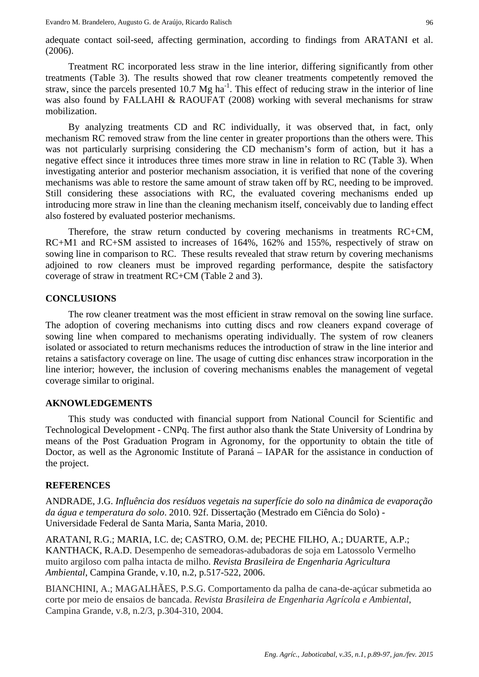Treatment RC incorporated less straw in the line interior, differing significantly from other treatments (Table 3). The results showed that row cleaner treatments competently removed the straw, since the parcels presented 10.7  $Mg$  ha<sup>-1</sup>. This effect of reducing straw in the interior of line was also found by FALLAHI & RAOUFAT (2008) working with several mechanisms for straw mobilization.

By analyzing treatments CD and RC individually, it was observed that, in fact, only mechanism RC removed straw from the line center in greater proportions than the others were. This was not particularly surprising considering the CD mechanism's form of action, but it has a negative effect since it introduces three times more straw in line in relation to RC (Table 3). When investigating anterior and posterior mechanism association, it is verified that none of the covering mechanisms was able to restore the same amount of straw taken off by RC, needing to be improved. Still considering these associations with RC, the evaluated covering mechanisms ended up introducing more straw in line than the cleaning mechanism itself, conceivably due to landing effect also fostered by evaluated posterior mechanisms.

Therefore, the straw return conducted by covering mechanisms in treatments RC+CM, RC+M1 and RC+SM assisted to increases of 164%, 162% and 155%, respectively of straw on sowing line in comparison to RC. These results revealed that straw return by covering mechanisms adjoined to row cleaners must be improved regarding performance, despite the satisfactory coverage of straw in treatment RC+CM (Table 2 and 3).

## **CONCLUSIONS**

The row cleaner treatment was the most efficient in straw removal on the sowing line surface. The adoption of covering mechanisms into cutting discs and row cleaners expand coverage of sowing line when compared to mechanisms operating individually. The system of row cleaners isolated or associated to return mechanisms reduces the introduction of straw in the line interior and retains a satisfactory coverage on line. The usage of cutting disc enhances straw incorporation in the line interior; however, the inclusion of covering mechanisms enables the management of vegetal coverage similar to original.

## **AKNOWLEDGEMENTS**

This study was conducted with financial support from National Council for Scientific and Technological Development - CNPq. The first author also thank the State University of Londrina by means of the Post Graduation Program in Agronomy, for the opportunity to obtain the title of Doctor, as well as the Agronomic Institute of Paraná – IAPAR for the assistance in conduction of the project.

## **REFERENCES**

ANDRADE, J.G. *Influência dos resíduos vegetais na superfície do solo na dinâmica de evaporação da água e temperatura do solo*. 2010. 92f. Dissertação (Mestrado em Ciência do Solo) - Universidade Federal de Santa Maria, Santa Maria, 2010.

ARATANI, R.G.; MARIA, I.C. de; CASTRO, O.M. de; PECHE FILHO, A.; DUARTE, A.P.; KANTHACK, R.A.D. Desempenho de semeadoras-adubadoras de soja em Latossolo Vermelho muito argiloso com palha intacta de milho. *Revista Brasileira de Engenharia Agricultura Ambiental*, Campina Grande, v.10, n.2, p.517-522, 2006.

BIANCHINI, A.; MAGALHÃES, P.S.G. Comportamento da palha de cana-de-açúcar submetida ao corte por meio de ensaios de bancada. *Revista Brasileira de Engenharia Agrícola e Ambiental*, Campina Grande, v.8, n.2/3, p.304-310, 2004.